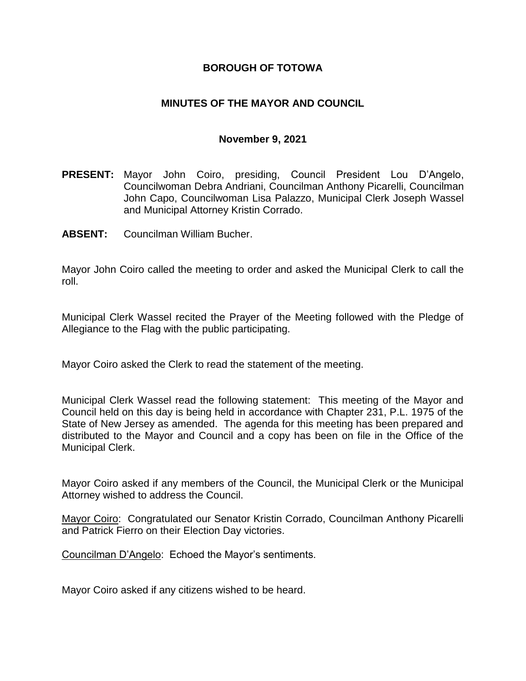### **BOROUGH OF TOTOWA**

### **MINUTES OF THE MAYOR AND COUNCIL**

#### **November 9, 2021**

- **PRESENT:** Mayor John Coiro, presiding, Council President Lou D'Angelo, Councilwoman Debra Andriani, Councilman Anthony Picarelli, Councilman John Capo, Councilwoman Lisa Palazzo, Municipal Clerk Joseph Wassel and Municipal Attorney Kristin Corrado.
- **ABSENT:** Councilman William Bucher.

Mayor John Coiro called the meeting to order and asked the Municipal Clerk to call the roll.

Municipal Clerk Wassel recited the Prayer of the Meeting followed with the Pledge of Allegiance to the Flag with the public participating.

Mayor Coiro asked the Clerk to read the statement of the meeting.

Municipal Clerk Wassel read the following statement: This meeting of the Mayor and Council held on this day is being held in accordance with Chapter 231, P.L. 1975 of the State of New Jersey as amended. The agenda for this meeting has been prepared and distributed to the Mayor and Council and a copy has been on file in the Office of the Municipal Clerk.

Mayor Coiro asked if any members of the Council, the Municipal Clerk or the Municipal Attorney wished to address the Council.

Mayor Coiro: Congratulated our Senator Kristin Corrado, Councilman Anthony Picarelli and Patrick Fierro on their Election Day victories.

Councilman D'Angelo: Echoed the Mayor's sentiments.

Mayor Coiro asked if any citizens wished to be heard.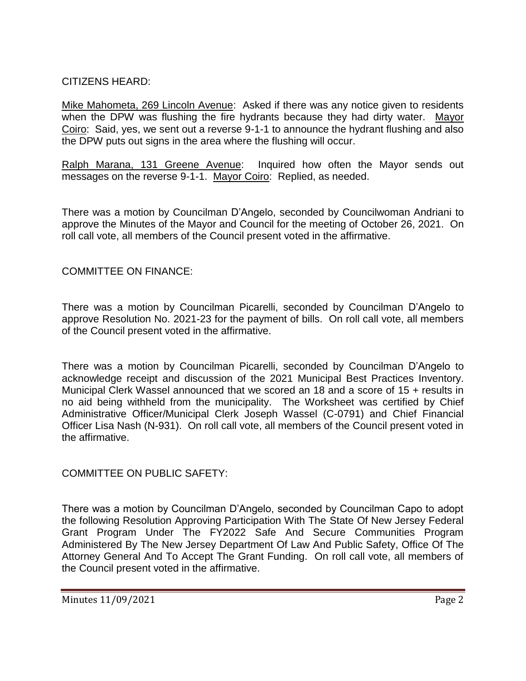## CITIZENS HEARD:

Mike Mahometa, 269 Lincoln Avenue: Asked if there was any notice given to residents when the DPW was flushing the fire hydrants because they had dirty water. Mayor Coiro: Said, yes, we sent out a reverse 9-1-1 to announce the hydrant flushing and also the DPW puts out signs in the area where the flushing will occur.

Ralph Marana, 131 Greene Avenue: Inquired how often the Mayor sends out messages on the reverse 9-1-1. Mayor Coiro: Replied, as needed.

There was a motion by Councilman D'Angelo, seconded by Councilwoman Andriani to approve the Minutes of the Mayor and Council for the meeting of October 26, 2021. On roll call vote, all members of the Council present voted in the affirmative.

# COMMITTEE ON FINANCE:

There was a motion by Councilman Picarelli, seconded by Councilman D'Angelo to approve Resolution No. 2021-23 for the payment of bills. On roll call vote, all members of the Council present voted in the affirmative.

There was a motion by Councilman Picarelli, seconded by Councilman D'Angelo to acknowledge receipt and discussion of the 2021 Municipal Best Practices Inventory. Municipal Clerk Wassel announced that we scored an 18 and a score of 15 + results in no aid being withheld from the municipality. The Worksheet was certified by Chief Administrative Officer/Municipal Clerk Joseph Wassel (C-0791) and Chief Financial Officer Lisa Nash (N-931). On roll call vote, all members of the Council present voted in the affirmative.

COMMITTEE ON PUBLIC SAFETY:

There was a motion by Councilman D'Angelo, seconded by Councilman Capo to adopt the following Resolution Approving Participation With The State Of New Jersey Federal Grant Program Under The FY2022 Safe And Secure Communities Program Administered By The New Jersey Department Of Law And Public Safety, Office Of The Attorney General And To Accept The Grant Funding. On roll call vote, all members of the Council present voted in the affirmative.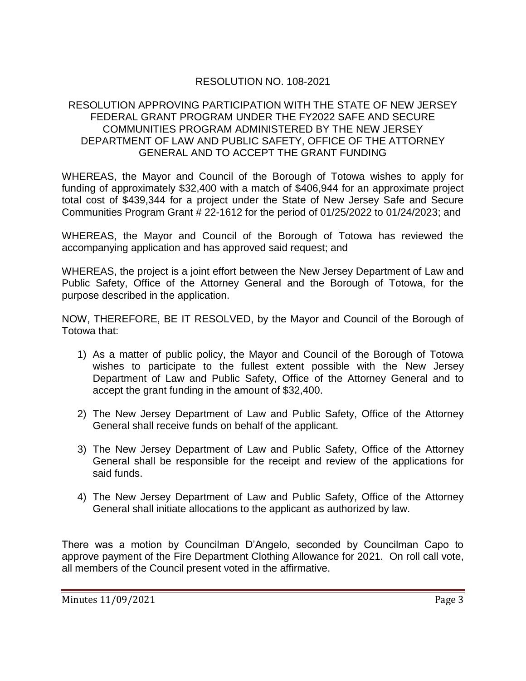## RESOLUTION NO. 108-2021

### RESOLUTION APPROVING PARTICIPATION WITH THE STATE OF NEW JERSEY FEDERAL GRANT PROGRAM UNDER THE FY2022 SAFE AND SECURE COMMUNITIES PROGRAM ADMINISTERED BY THE NEW JERSEY DEPARTMENT OF LAW AND PUBLIC SAFETY, OFFICE OF THE ATTORNEY GENERAL AND TO ACCEPT THE GRANT FUNDING

WHEREAS, the Mayor and Council of the Borough of Totowa wishes to apply for funding of approximately \$32,400 with a match of \$406,944 for an approximate project total cost of \$439,344 for a project under the State of New Jersey Safe and Secure Communities Program Grant # 22-1612 for the period of 01/25/2022 to 01/24/2023; and

WHEREAS, the Mayor and Council of the Borough of Totowa has reviewed the accompanying application and has approved said request; and

WHEREAS, the project is a joint effort between the New Jersey Department of Law and Public Safety, Office of the Attorney General and the Borough of Totowa, for the purpose described in the application.

NOW, THEREFORE, BE IT RESOLVED, by the Mayor and Council of the Borough of Totowa that:

- 1) As a matter of public policy, the Mayor and Council of the Borough of Totowa wishes to participate to the fullest extent possible with the New Jersey Department of Law and Public Safety, Office of the Attorney General and to accept the grant funding in the amount of \$32,400.
- 2) The New Jersey Department of Law and Public Safety, Office of the Attorney General shall receive funds on behalf of the applicant.
- 3) The New Jersey Department of Law and Public Safety, Office of the Attorney General shall be responsible for the receipt and review of the applications for said funds.
- 4) The New Jersey Department of Law and Public Safety, Office of the Attorney General shall initiate allocations to the applicant as authorized by law.

There was a motion by Councilman D'Angelo, seconded by Councilman Capo to approve payment of the Fire Department Clothing Allowance for 2021. On roll call vote, all members of the Council present voted in the affirmative.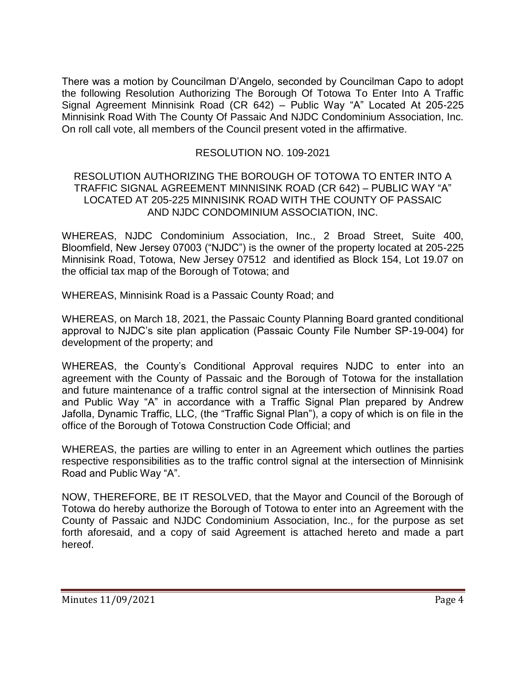There was a motion by Councilman D'Angelo, seconded by Councilman Capo to adopt the following Resolution Authorizing The Borough Of Totowa To Enter Into A Traffic Signal Agreement Minnisink Road (CR 642) – Public Way "A" Located At 205-225 Minnisink Road With The County Of Passaic And NJDC Condominium Association, Inc. On roll call vote, all members of the Council present voted in the affirmative.

### RESOLUTION NO. 109-2021

#### RESOLUTION AUTHORIZING THE BOROUGH OF TOTOWA TO ENTER INTO A TRAFFIC SIGNAL AGREEMENT MINNISINK ROAD (CR 642) – PUBLIC WAY "A" LOCATED AT 205-225 MINNISINK ROAD WITH THE COUNTY OF PASSAIC AND NJDC CONDOMINIUM ASSOCIATION, INC.

WHEREAS, NJDC Condominium Association, Inc., 2 Broad Street, Suite 400, Bloomfield, New Jersey 07003 ("NJDC") is the owner of the property located at 205-225 Minnisink Road, Totowa, New Jersey 07512 and identified as Block 154, Lot 19.07 on the official tax map of the Borough of Totowa; and

WHEREAS, Minnisink Road is a Passaic County Road; and

WHEREAS, on March 18, 2021, the Passaic County Planning Board granted conditional approval to NJDC's site plan application (Passaic County File Number SP-19-004) for development of the property; and

WHEREAS, the County's Conditional Approval requires NJDC to enter into an agreement with the County of Passaic and the Borough of Totowa for the installation and future maintenance of a traffic control signal at the intersection of Minnisink Road and Public Way "A" in accordance with a Traffic Signal Plan prepared by Andrew Jafolla, Dynamic Traffic, LLC, (the "Traffic Signal Plan"), a copy of which is on file in the office of the Borough of Totowa Construction Code Official; and

WHEREAS, the parties are willing to enter in an Agreement which outlines the parties respective responsibilities as to the traffic control signal at the intersection of Minnisink Road and Public Way "A".

NOW, THEREFORE, BE IT RESOLVED, that the Mayor and Council of the Borough of Totowa do hereby authorize the Borough of Totowa to enter into an Agreement with the County of Passaic and NJDC Condominium Association, Inc., for the purpose as set forth aforesaid, and a copy of said Agreement is attached hereto and made a part hereof.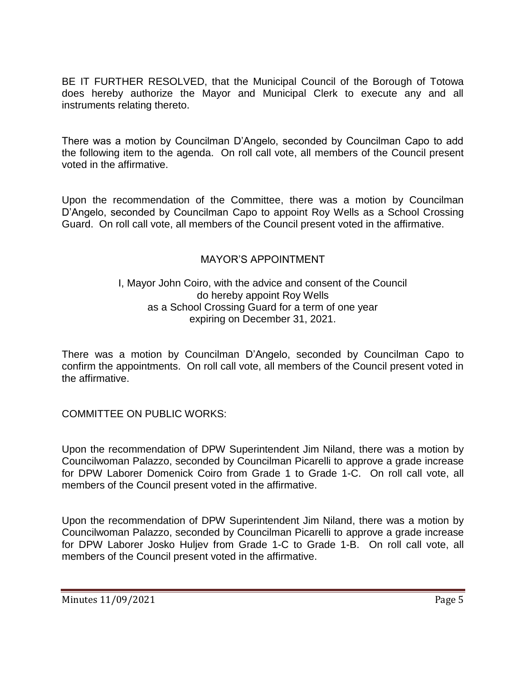BE IT FURTHER RESOLVED, that the Municipal Council of the Borough of Totowa does hereby authorize the Mayor and Municipal Clerk to execute any and all instruments relating thereto.

There was a motion by Councilman D'Angelo, seconded by Councilman Capo to add the following item to the agenda. On roll call vote, all members of the Council present voted in the affirmative.

Upon the recommendation of the Committee, there was a motion by Councilman D'Angelo, seconded by Councilman Capo to appoint Roy Wells as a School Crossing Guard. On roll call vote, all members of the Council present voted in the affirmative.

### MAYOR'S APPOINTMENT

### I, Mayor John Coiro, with the advice and consent of the Council do hereby appoint Roy Wells as a School Crossing Guard for a term of one year expiring on December 31, 2021.

There was a motion by Councilman D'Angelo, seconded by Councilman Capo to confirm the appointments. On roll call vote, all members of the Council present voted in the affirmative.

COMMITTEE ON PUBLIC WORKS:

Upon the recommendation of DPW Superintendent Jim Niland, there was a motion by Councilwoman Palazzo, seconded by Councilman Picarelli to approve a grade increase for DPW Laborer Domenick Coiro from Grade 1 to Grade 1-C. On roll call vote, all members of the Council present voted in the affirmative.

Upon the recommendation of DPW Superintendent Jim Niland, there was a motion by Councilwoman Palazzo, seconded by Councilman Picarelli to approve a grade increase for DPW Laborer Josko Huljev from Grade 1-C to Grade 1-B. On roll call vote, all members of the Council present voted in the affirmative.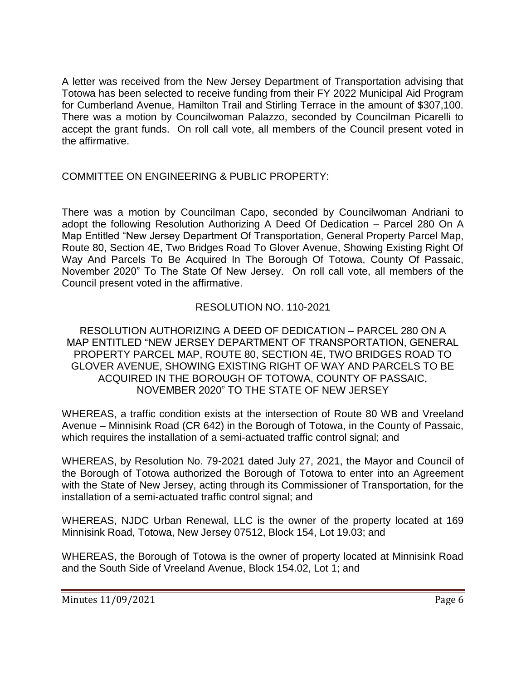A letter was received from the New Jersey Department of Transportation advising that Totowa has been selected to receive funding from their FY 2022 Municipal Aid Program for Cumberland Avenue, Hamilton Trail and Stirling Terrace in the amount of \$307,100. There was a motion by Councilwoman Palazzo, seconded by Councilman Picarelli to accept the grant funds. On roll call vote, all members of the Council present voted in the affirmative.

# COMMITTEE ON ENGINEERING & PUBLIC PROPERTY:

There was a motion by Councilman Capo, seconded by Councilwoman Andriani to adopt the following Resolution Authorizing A Deed Of Dedication – Parcel 280 On A Map Entitled "New Jersey Department Of Transportation, General Property Parcel Map, Route 80, Section 4E, Two Bridges Road To Glover Avenue, Showing Existing Right Of Way And Parcels To Be Acquired In The Borough Of Totowa, County Of Passaic, November 2020" To The State Of New Jersey. On roll call vote, all members of the Council present voted in the affirmative.

# RESOLUTION NO. 110-2021

### RESOLUTION AUTHORIZING A DEED OF DEDICATION – PARCEL 280 ON A MAP ENTITLED "NEW JERSEY DEPARTMENT OF TRANSPORTATION, GENERAL PROPERTY PARCEL MAP, ROUTE 80, SECTION 4E, TWO BRIDGES ROAD TO GLOVER AVENUE, SHOWING EXISTING RIGHT OF WAY AND PARCELS TO BE ACQUIRED IN THE BOROUGH OF TOTOWA, COUNTY OF PASSAIC, NOVEMBER 2020" TO THE STATE OF NEW JERSEY

WHEREAS, a traffic condition exists at the intersection of Route 80 WB and Vreeland Avenue – Minnisink Road (CR 642) in the Borough of Totowa, in the County of Passaic, which requires the installation of a semi-actuated traffic control signal; and

WHEREAS, by Resolution No. 79-2021 dated July 27, 2021, the Mayor and Council of the Borough of Totowa authorized the Borough of Totowa to enter into an Agreement with the State of New Jersey, acting through its Commissioner of Transportation, for the installation of a semi-actuated traffic control signal; and

WHEREAS, NJDC Urban Renewal, LLC is the owner of the property located at 169 Minnisink Road, Totowa, New Jersey 07512, Block 154, Lot 19.03; and

WHEREAS, the Borough of Totowa is the owner of property located at Minnisink Road and the South Side of Vreeland Avenue, Block 154.02, Lot 1; and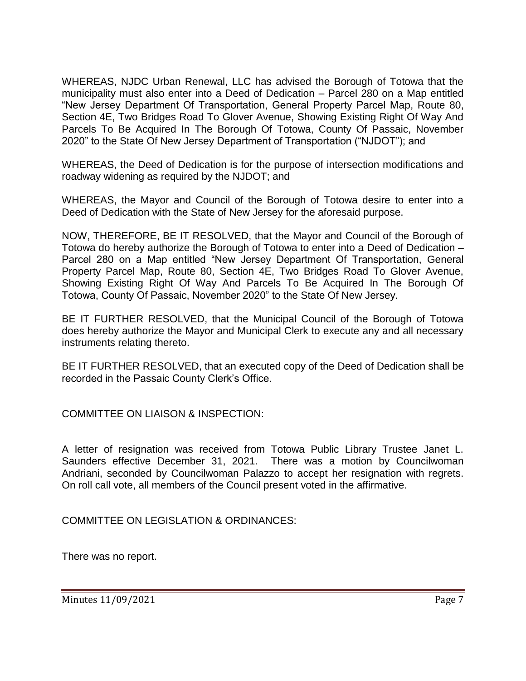WHEREAS, NJDC Urban Renewal, LLC has advised the Borough of Totowa that the municipality must also enter into a Deed of Dedication – Parcel 280 on a Map entitled "New Jersey Department Of Transportation, General Property Parcel Map, Route 80, Section 4E, Two Bridges Road To Glover Avenue, Showing Existing Right Of Way And Parcels To Be Acquired In The Borough Of Totowa, County Of Passaic, November 2020" to the State Of New Jersey Department of Transportation ("NJDOT"); and

WHEREAS, the Deed of Dedication is for the purpose of intersection modifications and roadway widening as required by the NJDOT; and

WHEREAS, the Mayor and Council of the Borough of Totowa desire to enter into a Deed of Dedication with the State of New Jersey for the aforesaid purpose.

NOW, THEREFORE, BE IT RESOLVED, that the Mayor and Council of the Borough of Totowa do hereby authorize the Borough of Totowa to enter into a Deed of Dedication – Parcel 280 on a Map entitled "New Jersey Department Of Transportation, General Property Parcel Map, Route 80, Section 4E, Two Bridges Road To Glover Avenue, Showing Existing Right Of Way And Parcels To Be Acquired In The Borough Of Totowa, County Of Passaic, November 2020" to the State Of New Jersey.

BE IT FURTHER RESOLVED, that the Municipal Council of the Borough of Totowa does hereby authorize the Mayor and Municipal Clerk to execute any and all necessary instruments relating thereto.

BE IT FURTHER RESOLVED, that an executed copy of the Deed of Dedication shall be recorded in the Passaic County Clerk's Office.

COMMITTEE ON LIAISON & INSPECTION:

A letter of resignation was received from Totowa Public Library Trustee Janet L. Saunders effective December 31, 2021. There was a motion by Councilwoman Andriani, seconded by Councilwoman Palazzo to accept her resignation with regrets. On roll call vote, all members of the Council present voted in the affirmative.

COMMITTEE ON LEGISLATION & ORDINANCES:

There was no report.